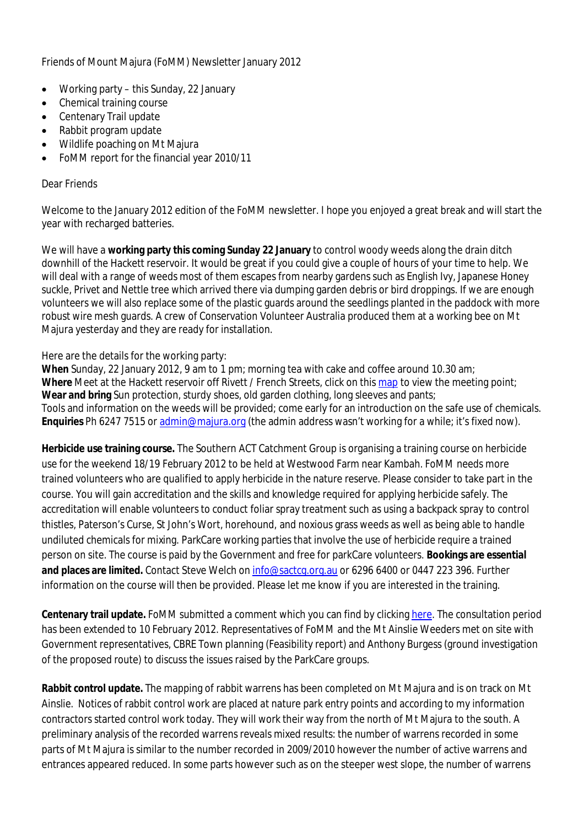Friends of Mount Majura (FoMM) Newsletter January 2012

- Working party this Sunday, 22 January
- Chemical training course
- Centenary Trail update
- Rabbit program update
- Wildlife poaching on Mt Majura
- FoMM report for the financial year 2010/11

## Dear Friends

Welcome to the January 2012 edition of the FoMM newsletter. I hope you enjoyed a great break and will start the year with recharged batteries.

We will have a **working party this coming Sunday 22 January** to control woody weeds along the drain ditch downhill of the Hackett reservoir. It would be great if you could give a couple of hours of your time to help. We will deal with a range of weeds most of them escapes from nearby gardens such as English Ivy, Japanese Honey suckle, Privet and Nettle tree which arrived there via dumping garden debris or bird droppings. If we are enough volunteers we will also replace some of the plastic guards around the seedlings planted in the paddock with more robust wire mesh guards. A crew of Conservation Volunteer Australia produced them at a working bee on Mt Majura yesterday and they are ready for installation.

## Here are the details for the working party:

**When** Sunday, 22 January 2012, 9 am to 1 pm; morning tea with cake and coffee around 10.30 am; **Where** Meet at the Hackett reservoir off Rivett / French Streets, click on this map to view the meeting point; **Wear and bring** Sun protection, sturdy shoes, old garden clothing, long sleeves and pants; Tools and information on the weeds will be provided; come early for an introduction on the safe use of chemicals. **Enquiries** Ph 6247 7515 or admin@majura.org (the admin address wasn't working for a while; it's fixed now).

**Herbicide use training course.** The Southern ACT Catchment Group is organising a training course on herbicide use for the weekend 18/19 February 2012 to be held at Westwood Farm near Kambah. FoMM needs more trained volunteers who are qualified to apply herbicide in the nature reserve. Please consider to take part in the course. You will gain accreditation and the skills and knowledge required for applying herbicide safely. The accreditation will enable volunteers to conduct foliar spray treatment such as using a backpack spray to control thistles, Paterson's Curse, St John's Wort, horehound, and noxious grass weeds as well as being able to handle undiluted chemicals for mixing. ParkCare working parties that involve the use of herbicide require a trained person on site. The course is paid by the Government and free for parkCare volunteers. **Bookings are essential and places are limited.** Contact Steve Welch on info@sactcg.org.au or 6296 6400 or 0447 223 396. Further information on the course will then be provided. Please let me know if you are interested in the training.

**Centenary trail update.** FoMM submitted a comment which you can find by clicking here. The consultation period has been extended to 10 February 2012. Representatives of FoMM and the Mt Ainslie Weeders met on site with Government representatives, CBRE Town planning (Feasibility report) and Anthony Burgess (ground investigation of the proposed route) to discuss the issues raised by the ParkCare groups.

**Rabbit control update.** The mapping of rabbit warrens has been completed on Mt Majura and is on track on Mt Ainslie. Notices of rabbit control work are placed at nature park entry points and according to my information contractors started control work today. They will work their way from the north of Mt Majura to the south. A preliminary analysis of the recorded warrens reveals mixed results: the number of warrens recorded in some parts of Mt Majura is similar to the number recorded in 2009/2010 however the number of active warrens and entrances appeared reduced. In some parts however such as on the steeper west slope, the number of warrens